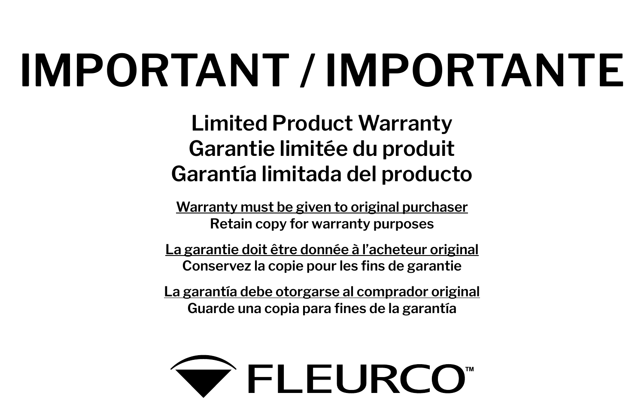# **IMPORTANT / IMPORTANTE**

**Limited Product Warranty Garantie limitée du produit Garantía limitada del producto**

**Warranty must be given to original purchaser Retain copy for warranty purposes**

**La garantie doit être donnée à l'acheteur original Conservez la copie pour les fins de garantie**

**La garantía debe otorgarse al comprador original Guarde una copia para fines de la garantía**

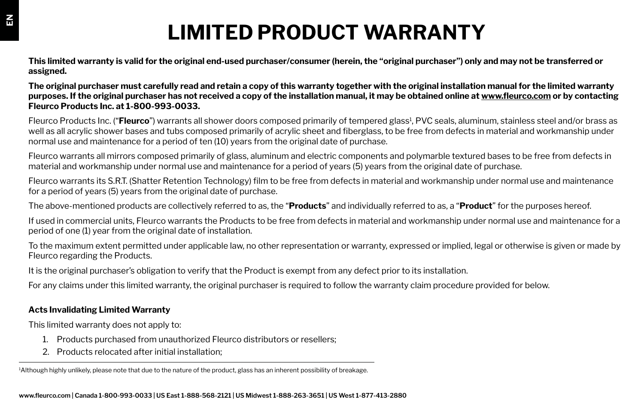# **LIMITED PRODUCT WARRANTY**

**This limited warranty is valid for the original end-used purchaser/consumer (herein, the "original purchaser") only and may not be transferred or assigned.**

**The original purchaser must carefully read and retain a copy of this warranty together with the original installation manual for the limited warranty purposes. If the original purchaser has not received a copy of the installation manual, it may be obtained online at www.fleurco.com or by contacting Fleurco Products Inc. at 1-800-993-0033.** 

Fleurco Products Inc. ("**Fleurco**") warrants all shower doors composed primarily of tempered glass<sup>1</sup>, PVC seals, aluminum, stainless steel and/or brass as well as all acrylic shower bases and tubs composed primarily of acrylic sheet and fiberglass, to be free from defects in material and workmanship under normal use and maintenance for a period of ten (10) years from the original date of purchase.

Fleurco warrants all mirrors composed primarily of glass, aluminum and electric components and polymarble textured bases to be free from defects in material and workmanship under normal use and maintenance for a period of years (5) years from the original date of purchase.

Fleurco warrants its S.R.T. (Shatter Retention Technology) film to be free from defects in material and workmanship under normal use and maintenance for a period of years (5) years from the original date of purchase.

The above-mentioned products are collectively referred to as, the "**Products**" and individually referred to as, a "**Product**" for the purposes hereof.

If used in commercial units, Fleurco warrants the Products to be free from defects in material and workmanship under normal use and maintenance for a period of one (1) year from the original date of installation.

To the maximum extent permitted under applicable law, no other representation or warranty, expressed or implied, legal or otherwise is given or made by Fleurco regarding the Products.

It is the original purchaser's obligation to verify that the Product is exempt from any defect prior to its installation.

For any claims under this limited warranty, the original purchaser is required to follow the warranty claim procedure provided for below.

### **Acts Invalidating Limited Warranty**

This limited warranty does not apply to:

- 1. Products purchased from unauthorized Fleurco distributors or resellers;
- 2. Products relocated after initial installation;

1 Although highly unlikely, please note that due to the nature of the product, glass has an inherent possibility of breakage.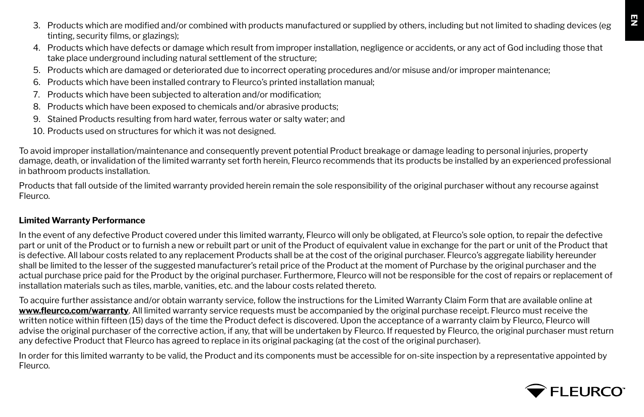- 3. Products which are modified and/or combined with products manufactured or supplied by others, including but not limited to shading devices (eg tinting, security films, or glazings);
- 4. Products which have defects or damage which result from improper installation, negligence or accidents, or any act of God including those that take place underground including natural settlement of the structure;
- 5. Products which are damaged or deteriorated due to incorrect operating procedures and/or misuse and/or improper maintenance;
- 6. Products which have been installed contrary to Fleurco's printed installation manual;
- 7. Products which have been subjected to alteration and/or modification;
- 8. Products which have been exposed to chemicals and/or abrasive products;
- 9. Stained Products resulting from hard water, ferrous water or salty water; and
- 10. Products used on structures for which it was not designed.

To avoid improper installation/maintenance and consequently prevent potential Product breakage or damage leading to personal injuries, property damage, death, or invalidation of the limited warranty set forth herein, Fleurco recommends that its products be installed by an experienced professional in bathroom products installation.

Products that fall outside of the limited warranty provided herein remain the sole responsibility of the original purchaser without any recourse against Fleurco.

#### **Limited Warranty Performance**

In the event of any defective Product covered under this limited warranty, Fleurco will only be obligated, at Fleurco's sole option, to repair the defective part or unit of the Product or to furnish a new or rebuilt part or unit of the Product of equivalent value in exchange for the part or unit of the Product that is defective. All labour costs related to any replacement Products shall be at the cost of the original purchaser. Fleurco's aggregate liability hereunder shall be limited to the lesser of the suggested manufacturer's retail price of the Product at the moment of Purchase by the original purchaser and the actual purchase price paid for the Product by the original purchaser. Furthermore, Fleurco will not be responsible for the cost of repairs or replacement of installation materials such as tiles, marble, vanities, etc. and the labour costs related thereto.

To acquire further assistance and/or obtain warranty service, follow the instructions for the Limited Warranty Claim Form that are available online at **www.fleurco.com/warranty**. All limited warranty service requests must be accompanied by the original purchase receipt. Fleurco must receive the written notice within fifteen (15) days of the time the Product defect is discovered. Upon the acceptance of a warranty claim by Fleurco, Fleurco will advise the original purchaser of the corrective action, if any, that will be undertaken by Fleurco. If requested by Fleurco, the original purchaser must return any defective Product that Fleurco has agreed to replace in its original packaging (at the cost of the original purchaser).

In order for this limited warranty to be valid, the Product and its components must be accessible for on-site inspection by a representative appointed by **Fleurco** 

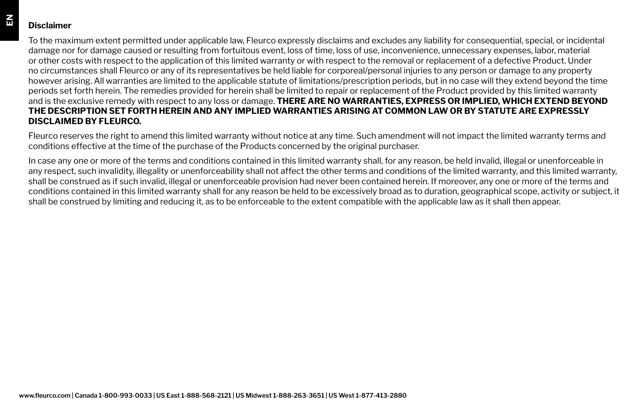## **Disclaimer**

To the maximum extent permitted under applicable law, Fleurco expressly disclaims and excludes any liability for consequential, special, or incidental damage nor for damage caused or resulting from fortuitous event, loss of time, loss of use, inconvenience, unnecessary expenses, labor, material or other costs with respect to the application of this limited warranty or with respect to the removal or replacement of a defective Product. Under no circumstances shall Fleurco or any of its representatives be held liable for corporeal/personal injuries to any person or damage to any property however arising. All warranties are limited to the applicable statute of limitations/prescription periods, but in no case will they extend beyond the time periods set forth herein. The remedies provided for herein shall be limited to repair or replacement of the Product provided by this limited warranty and is the exclusive remedy with respect to any loss or damage. **THERE ARE NO WARRANTIES, EXPRESS OR IMPLIED, WHICH EXTEND BEYOND THE DESCRIPTION SET FORTH HEREIN AND ANY IMPLIED WARRANTIES ARISING AT COMMON LAW OR BY STATUTE ARE EXPRESSLY DISCLAIMED BY FLEURCO.**

Fleurco reserves the right to amend this limited warranty without notice at any time. Such amendment will not impact the limited warranty terms and conditions effective at the time of the purchase of the Products concerned by the original purchaser.

In case any one or more of the terms and conditions contained in this limited warranty shall, for any reason, be held invalid, illegal or unenforceable in any respect, such invalidity, illegality or unenforceability shall not affect the other terms and conditions of the limited warranty, and this limited warranty, shall be construed as if such invalid, illegal or unenforceable provision had never been contained herein. If moreover, any one or more of the terms and conditions contained in this limited warranty shall for any reason be held to be excessively broad as to duration, geographical scope, activity or subject, it shall be construed by limiting and reducing it, as to be enforceable to the extent compatible with the applicable law as it shall then appear.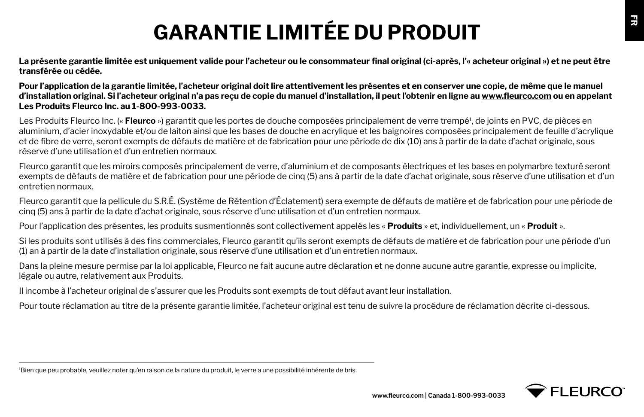# **GARANTIE LIMITÉE DU PRODUIT**

**La présente garantie limitée est uniquement valide pour l'acheteur ou le consommateur final original (ci-après, l'« acheteur original ») et ne peut être transférée ou cédée.**

**Pour l'application de la garantie limitée, l'acheteur original doit lire attentivement les présentes et en conserver une copie, de même que le manuel d'installation original. Si l'acheteur original n'a pas reçu de copie du manuel d'installation, il peut l'obtenir en ligne au www.fleurco.com ou en appelant Les Produits Fleurco Inc. au 1-800-993-0033.** 

Les Produits Fleurco Inc. (« **Fleurco** ») garantit que les portes de douche composées principalement de verre trempé1 , de joints en PVC, de pièces en aluminium, d'acier inoxydable et/ou de laiton ainsi que les bases de douche en acrylique et les baignoires composées principalement de feuille d'acrylique et de fibre de verre, seront exempts de défauts de matière et de fabrication pour une période de dix (10) ans à partir de la date d'achat originale, sous réserve d'une utilisation et d'un entretien normaux.

Fleurco garantit que les miroirs composés principalement de verre, d'aluminium et de composants électriques et les bases en polymarbre texturé seront exempts de défauts de matière et de fabrication pour une période de cinq (5) ans à partir de la date d'achat originale, sous réserve d'une utilisation et d'un entretien normaux.

Fleurco garantit que la pellicule du S.R.É. (Système de Rétention d'Éclatement) sera exempte de défauts de matière et de fabrication pour une période de cinq (5) ans à partir de la date d'achat originale, sous réserve d'une utilisation et d'un entretien normaux.

Pour l'application des présentes, les produits susmentionnés sont collectivement appelés les « **Produits** » et, individuellement, un « **Produit** ».

Si les produits sont utilisés à des fins commerciales, Fleurco garantit qu'ils seront exempts de défauts de matière et de fabrication pour une période d'un (1) an à partir de la date d'installation originale, sous réserve d'une utilisation et d'un entretien normaux.

Dans la pleine mesure permise par la loi applicable, Fleurco ne fait aucune autre déclaration et ne donne aucune autre garantie, expresse ou implicite, légale ou autre, relativement aux Produits.

Il incombe à l'acheteur original de s'assurer que les Produits sont exempts de tout défaut avant leur installation.

Pour toute réclamation au titre de la présente garantie limitée, l'acheteur original est tenu de suivre la procédure de réclamation décrite ci-dessous.

<sup>1</sup> Bien que peu probable, veuillez noter qu'en raison de la nature du produit, le verre a une possibilité inhérente de bris.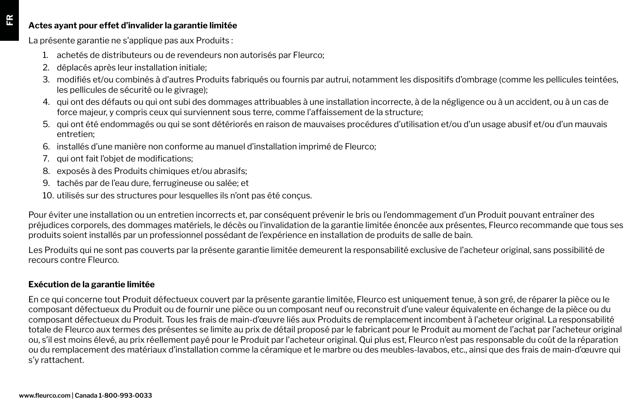#### **Actes ayant pour effet d'invalider la garantie limitée**

La présente garantie ne s'applique pas aux Produits :

- 1. achetés de distributeurs ou de revendeurs non autorisés par Fleurco;
- 2. déplacés après leur installation initiale;
- 3. modifiés et/ou combinés à d'autres Produits fabriqués ou fournis par autrui, notamment les dispositifs d'ombrage (comme les pellicules teintées, les pellicules de sécurité ou le givrage);
- 4. qui ont des défauts ou qui ont subi des dommages attribuables à une installation incorrecte, à de la négligence ou à un accident, ou à un cas de force majeur, y compris ceux qui surviennent sous terre, comme l'affaissement de la structure;
- 5. qui ont été endommagés ou qui se sont détériorés en raison de mauvaises procédures d'utilisation et/ou d'un usage abusif et/ou d'un mauvais entretien;
- 6. installés d'une manière non conforme au manuel d'installation imprimé de Fleurco;
- 7. qui ont fait l'objet de modifications;
- 8. exposés à des Produits chimiques et/ou abrasifs;
- 9. tachés par de l'eau dure, ferrugineuse ou salée; et
- 10. utilisés sur des structures pour lesquelles ils n'ont pas été conçus.

Pour éviter une installation ou un entretien incorrects et, par conséquent prévenir le bris ou l'endommagement d'un Produit pouvant entraîner des préjudices corporels, des dommages matériels, le décès ou l'invalidation de la garantie limitée énoncée aux présentes, Fleurco recommande que tous ses produits soient installés par un professionnel possédant de l'expérience en installation de produits de salle de bain.

Les Produits qui ne sont pas couverts par la présente garantie limitée demeurent la responsabilité exclusive de l'acheteur original, sans possibilité de recours contre Fleurco.

### **Exécution de la garantie limitée**

En ce qui concerne tout Produit défectueux couvert par la présente garantie limitée, Fleurco est uniquement tenue, à son gré, de réparer la pièce ou le composant défectueux du Produit ou de fournir une pièce ou un composant neuf ou reconstruit d'une valeur équivalente en échange de la pièce ou du composant défectueux du Produit. Tous les frais de main-d'œuvre liés aux Produits de remplacement incombent à l'acheteur original. La responsabilité totale de Fleurco aux termes des présentes se limite au prix de détail proposé par le fabricant pour le Produit au moment de l'achat par l'acheteur original ou, s'il est moins élevé, au prix réellement payé pour le Produit par l'acheteur original. Qui plus est, Fleurco n'est pas responsable du coût de la réparation ou du remplacement des matériaux d'installation comme la céramique et le marbre ou des meubles-lavabos, etc., ainsi que des frais de main-d'œuvre qui s'y rattachent.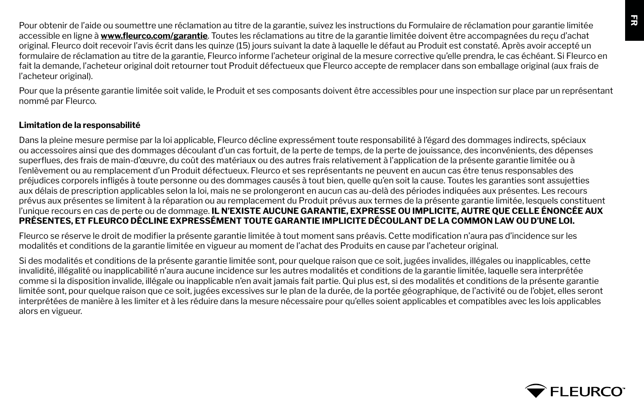Pour obtenir de l'aide ou soumettre une réclamation au titre de la garantie, suivez les instructions du Formulaire de réclamation pour garantie limitée accessible en ligne à **www.fleurco.com/garantie**. Toutes les réclamations au titre de la garantie limitée doivent être accompagnées du reçu d'achat original. Fleurco doit recevoir l'avis écrit dans les quinze (15) jours suivant la date à laquelle le défaut au Produit est constaté. Après avoir accepté un formulaire de réclamation au titre de la garantie, Fleurco informe l'acheteur original de la mesure corrective qu'elle prendra, le cas échéant. Si Fleurco en fait la demande, l'acheteur original doit retourner tout Produit défectueux que Fleurco accepte de remplacer dans son emballage original (aux frais de l'acheteur original).

Pour que la présente garantie limitée soit valide, le Produit et ses composants doivent être accessibles pour une inspection sur place par un représentant nommé par Fleurco.

#### **Limitation de la responsabilité**

Dans la pleine mesure permise par la loi applicable, Fleurco décline expressément toute responsabilité à l'égard des dommages indirects, spéciaux ou accessoires ainsi que des dommages découlant d'un cas fortuit, de la perte de temps, de la perte de jouissance, des inconvénients, des dépenses superflues, des frais de main-d'œuvre, du coût des matériaux ou des autres frais relativement à l'application de la présente garantie limitée ou à l'enlèvement ou au remplacement d'un Produit défectueux. Fleurco et ses représentants ne peuvent en aucun cas être tenus responsables des préjudices corporels infligés à toute personne ou des dommages causés à tout bien, quelle qu'en soit la cause. Toutes les garanties sont assujetties aux délais de prescription applicables selon la loi, mais ne se prolongeront en aucun cas au-delà des périodes indiquées aux présentes. Les recours prévus aux présentes se limitent à la réparation ou au remplacement du Produit prévus aux termes de la présente garantie limitée, lesquels constituent l'unique recours en cas de perte ou de dommage. **IL N'EXISTE AUCUNE GARANTIE, EXPRESSE OU IMPLICITE, AUTRE QUE CELLE ÉNONCÉE AUX PRÉSENTES, ET FLEURCO DÉCLINE EXPRESSÉMENT TOUTE GARANTIE IMPLICITE DÉCOULANT DE LA COMMON LAW OU D'UNE LOI.**

Fleurco se réserve le droit de modifier la présente garantie limitée à tout moment sans préavis. Cette modification n'aura pas d'incidence sur les modalités et conditions de la garantie limitée en vigueur au moment de l'achat des Produits en cause par l'acheteur original.

Si des modalités et conditions de la présente garantie limitée sont, pour quelque raison que ce soit, jugées invalides, illégales ou inapplicables, cette invalidité, illégalité ou inapplicabilité n'aura aucune incidence sur les autres modalités et conditions de la garantie limitée, laquelle sera interprétée comme si la disposition invalide, illégale ou inapplicable n'en avait jamais fait partie. Qui plus est, si des modalités et conditions de la présente garantie limitée sont, pour quelque raison que ce soit, jugées excessives sur le plan de la durée, de la portée géographique, de l'activité ou de l'objet, elles seront interprétées de manière à les limiter et à les réduire dans la mesure nécessaire pour qu'elles soient applicables et compatibles avec les lois applicables alors en vigueur.

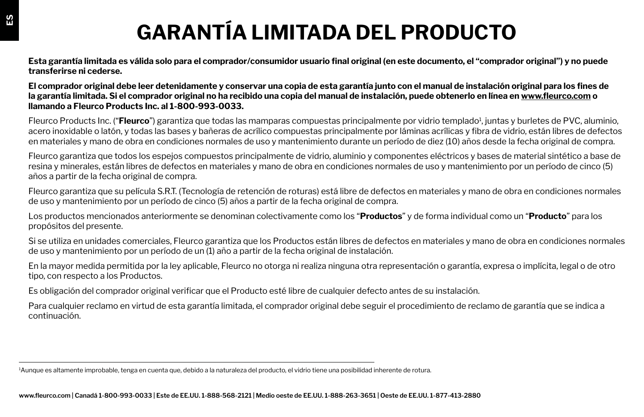# **GARANTÍA LIMITADA DEL PRODUCTO**

**Esta garantía limitada es válida solo para el comprador/consumidor usuario final original (en este documento, el "comprador original") y no puede transferirse ni cederse.**

**El comprador original debe leer detenidamente y conservar una copia de esta garantía junto con el manual de instalación original para los fines de la garantía limitada. Si el comprador original no ha recibido una copia del manual de instalación, puede obtenerlo en línea en www.fleurco.com o llamando a Fleurco Products Inc. al 1-800-993-0033.** 

Fleurco Products Inc. ("**Fleurco**") garantiza que todas las mamparas compuestas principalmente por vidrio templado<sup>1</sup>, juntas y burletes de PVC, aluminio, acero inoxidable o latón, y todas las bases y bañeras de acrílico compuestas principalmente por láminas acrílicas y fibra de vidrio, están libres de defectos en materiales y mano de obra en condiciones normales de uso y mantenimiento durante un período de diez (10) años desde la fecha original de compra.

Fleurco garantiza que todos los espejos compuestos principalmente de vidrio, aluminio y componentes eléctricos y bases de material sintético a base de resina y minerales, están libres de defectos en materiales y mano de obra en condiciones normales de uso y mantenimiento por un período de cinco (5) años a partir de la fecha original de compra.

Fleurco garantiza que su película S.R.T. (Tecnología de retención de roturas) está libre de defectos en materiales y mano de obra en condiciones normales de uso y mantenimiento por un período de cinco (5) años a partir de la fecha original de compra.

Los productos mencionados anteriormente se denominan colectivamente como los "**Productos**" y de forma individual como un "**Producto**" para los propósitos del presente.

Si se utiliza en unidades comerciales, Fleurco garantiza que los Productos están libres de defectos en materiales y mano de obra en condiciones normales de uso y mantenimiento por un período de un (1) año a partir de la fecha original de instalación.

En la mayor medida permitida por la ley aplicable, Fleurco no otorga ni realiza ninguna otra representación o garantía, expresa o implícita, legal o de otro tipo, con respecto a los Productos.

Es obligación del comprador original verificar que el Producto esté libre de cualquier defecto antes de su instalación.

Para cualquier reclamo en virtud de esta garantía limitada, el comprador original debe seguir el procedimiento de reclamo de garantía que se indica a continuación.

<sup>1</sup> Aunque es altamente improbable, tenga en cuenta que, debido a la naturaleza del producto, el vidrio tiene una posibilidad inherente de rotura.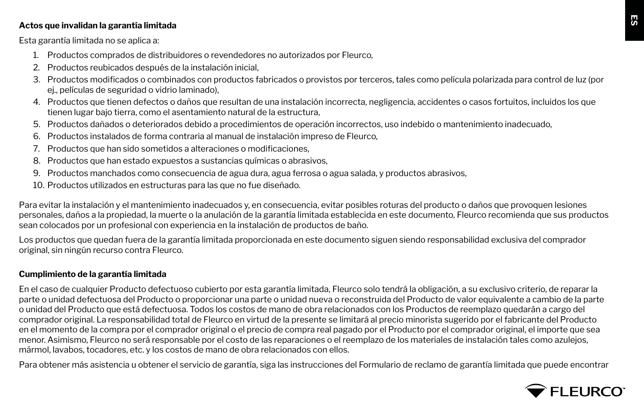#### **Actos que invalidan la garantía limitada**

Esta garantía limitada no se aplica a:

- 1. Productos comprados de distribuidores o revendedores no autorizados por Fleurco,
- 2. Productos reubicados después de la instalación inicial,
- 3. Productos modificados o combinados con productos fabricados o provistos por terceros, tales como película polarizada para control de luz (por ej., películas de seguridad o vidrio laminado),
- 4. Productos que tienen defectos o daños que resultan de una instalación incorrecta, negligencia, accidentes o casos fortuitos, incluidos los que tienen lugar bajo tierra, como el asentamiento natural de la estructura,
- 5. Productos dañados o deteriorados debido a procedimientos de operación incorrectos, uso indebido o mantenimiento inadecuado,
- 6. Productos instalados de forma contraria al manual de instalación impreso de Fleurco,
- 7. Productos que han sido sometidos a alteraciones o modificaciones,
- 8. Productos que han estado expuestos a sustancias químicas o abrasivos,
- 9. Productos manchados como consecuencia de agua dura, agua ferrosa o agua salada, y productos abrasivos,
- 10. Productos utilizados en estructuras para las que no fue diseñado.

Para evitar la instalación y el mantenimiento inadecuados y, en consecuencia, evitar posibles roturas del producto o daños que provoquen lesiones personales, daños a la propiedad, la muerte o la anulación de la garantía limitada establecida en este documento, Fleurco recomienda que sus productos sean colocados por un profesional con experiencia en la instalación de productos de baño.

Los productos que quedan fuera de la garantía limitada proporcionada en este documento siguen siendo responsabilidad exclusiva del comprador original, sin ningún recurso contra Fleurco.

### **Cumplimiento de la garantía limitada**

En el caso de cualquier Producto defectuoso cubierto por esta garantía limitada, Fleurco solo tendrá la obligación, a su exclusivo criterio, de reparar la parte o unidad defectuosa del Producto o proporcionar una parte o unidad nueva o reconstruida del Producto de valor equivalente a cambio de la parte o unidad del Producto que está defectuosa. Todos los costos de mano de obra relacionados con los Productos de reemplazo quedarán a cargo del comprador original. La responsabilidad total de Fleurco en virtud de la presente se limitará al precio minorista sugerido por el fabricante del Producto en el momento de la compra por el comprador original o el precio de compra real pagado por el Producto por el comprador original, el importe que sea menor. Asimismo, Fleurco no será responsable por el costo de las reparaciones o el reemplazo de los materiales de instalación tales como azulejos, mármol, lavabos, tocadores, etc. y los costos de mano de obra relacionados con ellos.

Para obtener más asistencia u obtener el servicio de garantía, siga las instrucciones del Formulario de reclamo de garantía limitada que puede encontrar

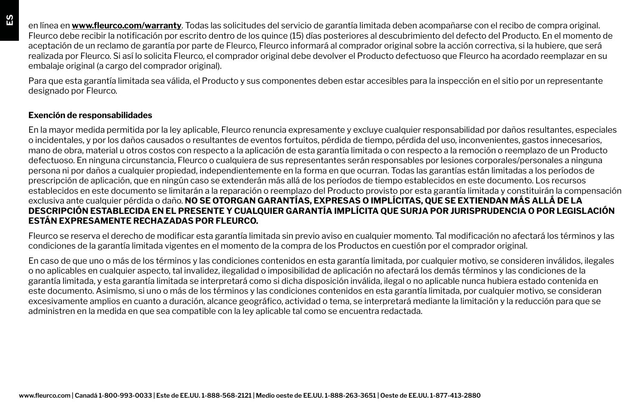en línea en **www.fleurco.com/warranty**. Todas las solicitudes del servicio de garantía limitada deben acompañarse con el recibo de compra original. Fleurco debe recibir la notificación por escrito dentro de los quince (15) días posteriores al descubrimiento del defecto del Producto. En el momento de aceptación de un reclamo de garantía por parte de Fleurco, Fleurco informará al comprador original sobre la acción correctiva, si la hubiere, que será realizada por Fleurco. Si así lo solicita Fleurco, el comprador original debe devolver el Producto defectuoso que Fleurco ha acordado reemplazar en su embalaje original (a cargo del comprador original).

Para que esta garantía limitada sea válida, el Producto y sus componentes deben estar accesibles para la inspección en el sitio por un representante designado por Fleurco.

#### **Exención de responsabilidades**

En la mayor medida permitida por la ley aplicable, Fleurco renuncia expresamente y excluye cualquier responsabilidad por daños resultantes, especiales o incidentales, y por los daños causados o resultantes de eventos fortuitos, pérdida de tiempo, pérdida del uso, inconvenientes, gastos innecesarios, mano de obra, material u otros costos con respecto a la aplicación de esta garantía limitada o con respecto a la remoción o reemplazo de un Producto defectuoso. En ninguna circunstancia, Fleurco o cualquiera de sus representantes serán responsables por lesiones corporales/personales a ninguna persona ni por daños a cualquier propiedad, independientemente en la forma en que ocurran. Todas las garantías están limitadas a los períodos de prescripción de aplicación, que en ningún caso se extenderán más allá de los períodos de tiempo establecidos en este documento. Los recursos establecidos en este documento se limitarán a la reparación o reemplazo del Producto provisto por esta garantía limitada y constituirán la compensación exclusiva ante cualquier pérdida o daño. **NO SE OTORGAN GARANTÍAS, EXPRESAS O IMPLÍCITAS, QUE SE EXTIENDAN MÁS ALLÁ DE LA DESCRIPCIÓN ESTABLECIDA EN EL PRESENTE Y CUALQUIER GARANTÍA IMPLÍCITA QUE SURJA POR JURISPRUDENCIA O POR LEGISLACIÓN ESTÁN EXPRESAMENTE RECHAZADAS POR FLEURCO.**

Fleurco se reserva el derecho de modificar esta garantía limitada sin previo aviso en cualquier momento. Tal modificación no afectará los términos y las condiciones de la garantía limitada vigentes en el momento de la compra de los Productos en cuestión por el comprador original.

En caso de que uno o más de los términos y las condiciones contenidos en esta garantía limitada, por cualquier motivo, se consideren inválidos, ilegales o no aplicables en cualquier aspecto, tal invalidez, ilegalidad o imposibilidad de aplicación no afectará los demás términos y las condiciones de la garantía limitada, y esta garantía limitada se interpretará como si dicha disposición inválida, ilegal o no aplicable nunca hubiera estado contenida en este documento. Asimismo, si uno o más de los términos y las condiciones contenidos en esta garantía limitada, por cualquier motivo, se consideran excesivamente amplios en cuanto a duración, alcance geográfico, actividad o tema, se interpretará mediante la limitación y la reducción para que se administren en la medida en que sea compatible con la ley aplicable tal como se encuentra redactada.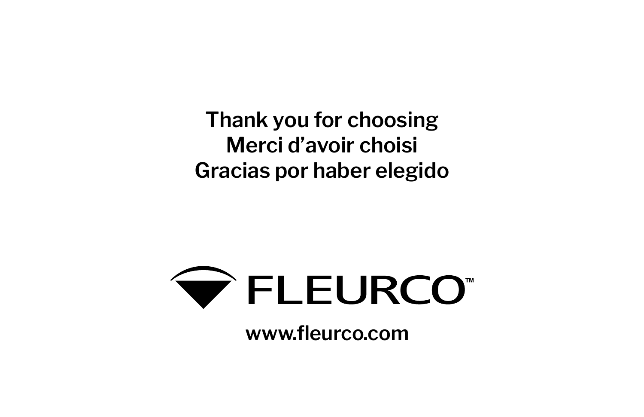**Thank you for choosing Merci d'avoir choisi Gracias por haber elegido**



**www.fleurco.com**